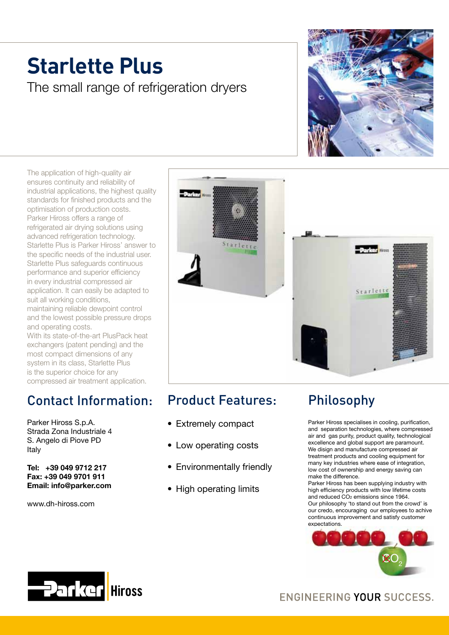# **Starlette Plus**

The small range of refrigeration dryers

The application of high-quality air ensures continuity and reliability of industrial applications, the highest quality standards for finished products and the optimisation of production costs. Parker Hiross offers a range of refrigerated air drying solutions using advanced refrigeration technology. Starlette Plus is Parker Hiross' answer to the specific needs of the industrial user. Starlette Plus safeguards continuous performance and superior efficiency in every industrial compressed air application. It can easily be adapted to suit all working conditions, maintaining reliable dewpoint control and the lowest possible pressure drops and operating costs.

With its state-of-the-art PlusPack heat exchangers (patent pending) and the most compact dimensions of any system in its class, Starlette Plus is the superior choice for any compressed air treatment application.

## Contact Information:

Parker Hiross S.p.A. Strada Zona Industriale 4 S. Angelo di Piove PD Italy

Tel: +39 049 9712 217 Fax: +39 049 9701 911 Email: info@parker.com

www.dh-hiross.com



## Product Features:

- Extremely compact
- Low operating costs
- Environmentally friendly
- High operating limits

## Philosophy

Parker Hiross specialises in cooling, purification, and separation technologies, where compressed air and gas purity, product quality, technological excellence and global support are paramount. We disign and manufacture compressed air treatment products and cooling equipment for many key industries where ease of integration, low cost of ownership and energy saving can make the difference.

Parker Hiross has been supplying industry with high efficiency products with low lifetime costs and reduced CO2 emissions since 1964. Our philosophy 'to stand out from the crowd' is our credo, encouraging our employees to achive continuous improvement and satisfy customer expectations.





ENGINEERING YOUR SUCCESS.

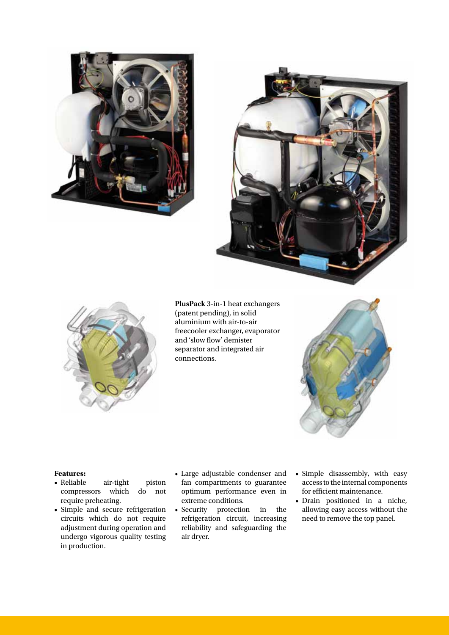





**PlusPack** 3-in-1 heat exchangers (patent pending), in solid aluminium with air-to-air freecooler exchanger, evaporator and 'slow flow' demister separator and integrated air connections.



#### **Features:**

- Reliable air-tight piston compressors which require preheating.
- Simple and secure refrigeration circuits which do not require adjustment during operation and undergo vigorous quality testing in production.
- Large adjustable condenser and fan compartments to guarantee optimum performance even in extreme conditions.
- Security protection in the refrigeration circuit, increasing reliability and safeguarding the air dryer.
- Simple disassembly, with easy access to the internal components for efficient maintenance.
- Drain positioned in a niche, allowing easy access without the need to remove the top panel.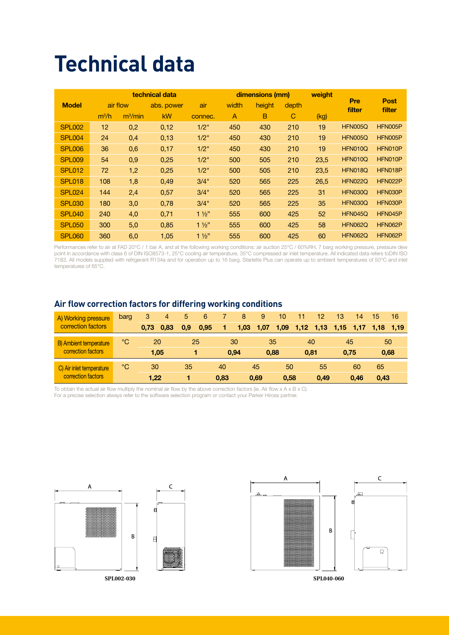## **Technical data**

| <b>Model</b>       |          |                     | technical data |                |              | dimensions (mm) |       | weight |                |                       |  |
|--------------------|----------|---------------------|----------------|----------------|--------------|-----------------|-------|--------|----------------|-----------------------|--|
|                    | air flow |                     | abs. power     | air            | width        | height          | depth |        | Pre<br>filter  | <b>Post</b><br>filter |  |
|                    | $m^3/h$  | m <sup>3</sup> /min | <b>kW</b>      | connec.        | $\mathsf{A}$ | B               | C     | (kg)   |                |                       |  |
| <b>SPL002</b>      | 12       | 0,2                 | 0,12           | 1/2"           | 450          | 430             | 210   | 19     | HFN005Q        | HFN005P               |  |
| SPL <sub>004</sub> | 24       | 0,4                 | 0,13           | 1/2"           | 450          | 430             | 210   | 19     | HFN005Q        | HFN005P               |  |
| <b>SPL006</b>      | 36       | 0,6                 | 0,17           | 1/2"           | 450          | 430             | 210   | 19     | HFN010Q        | HFN010P               |  |
| <b>SPL009</b>      | 54       | 0,9                 | 0,25           | 1/2"           | 500          | 505             | 210   | 23,5   | HFN010Q        | HFN010P               |  |
| <b>SPL012</b>      | 72       | 1,2                 | 0,25           | 1/2"           | 500          | 505             | 210   | 23,5   | HFN018Q        | HFN018P               |  |
| <b>SPL018</b>      | 108      | 1,8                 | 0.49           | 3/4"           | 520          | 565             | 225   | 26.5   | <b>HFN022Q</b> | HFN022P               |  |
| SPL <sub>024</sub> | 144      | 2,4                 | 0,57           | 3/4"           | 520          | 565             | 225   | 31     | HFN030Q        | HFN030P               |  |
| <b>SPL030</b>      | 180      | 3,0                 | 0,78           | 3/4"           | 520          | 565             | 225   | 35     | HFN030Q        | HFN030P               |  |
| SPL <sub>040</sub> | 240      | 4,0                 | 0,71           | $1\frac{1}{2}$ | 555          | 600             | 425   | 52     | HFN045Q        | HFN045P               |  |
| <b>SPL050</b>      | 300      | 5,0                 | 0,85           | $1\frac{1}{2}$ | 555          | 600             | 425   | 58     | HFN062Q        | HFN062P               |  |
| SPL <sub>060</sub> | 360      | 6,0                 | 1,05           | $1\frac{1}{2}$ | 555          | 600             | 425   | 60     | <b>HFN062Q</b> | HFN062P               |  |

Performances refer to air at FAD 20°C / 1 bar A, and at the following working conditions: air suction 25°C / 60%RH, 7 barg working pressure, pressure dew point in accordance with class 6 of DIN ISO8573-1, 25°C cooling air temperature, 35°C compressed air inlet temperature. All indicated data refers toDIN ISO 7183. All models supplied with refrigerant R134a and for operation up to 16 barg. Starlette Plus can operate up to ambient temperatures of 50°C and inlet temperatures of 65°C.

#### **Air flow correction factors for differing working conditions**

| A) Working pressure      | barg         | 3        | 4    | 5   | 6    | 7    | 8    | 9    | 10   | 11   | 12   | 13   | 14   | 15   | 16      |
|--------------------------|--------------|----------|------|-----|------|------|------|------|------|------|------|------|------|------|---------|
| correction factors       |              | 0.73     | 0.83 | 0.9 | 0.95 |      | 1,03 | 1,07 | 1,09 | 1,12 | 1,13 | 1,15 | 1.17 | 1.18 | $-1.19$ |
| B) Ambient temperature   | $^{\circ}$ C | 20<br>25 |      |     | 30   |      | 35   |      | 40   |      | 45   |      | 50   |      |         |
| correction factors       |              |          | 1.05 |     | 1    |      | 0.94 |      | 0.88 | 0.81 |      | 0,75 |      |      | 0,68    |
| C) Air inlet temperature | °C           | 30       |      | 35  |      | 40   |      | 45   | 50   |      | 55   |      | 60   | 65   |         |
| correction factors       |              | 1,22     |      |     |      | 0.83 |      | 0,69 | 0.58 |      | 0.49 |      | 0.46 | 0,43 |         |

To obtain the actual air flow multiply the nominal air flow by the above correction factors (ie. Air flow x A x B x C). For a precise selection always refer to the software selection program or contact your Parker Hiross partner.





**SPL002-030 SPL040-060**